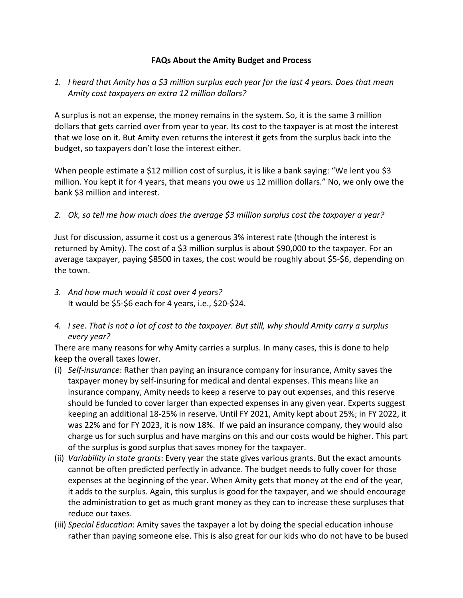## **FAQs About the Amity Budget and Process**

## *1. I heard that Amity has a \$3 million surplus each year for the last 4 years. Does that mean Amity cost taxpayers an extra 12 million dollars?*

A surplus is not an expense, the money remains in the system. So, it is the same 3 million dollars that gets carried over from year to year. Its cost to the taxpayer is at most the interest that we lose on it. But Amity even returns the interest it gets from the surplus back into the budget, so taxpayers don't lose the interest either.

When people estimate a \$12 million cost of surplus, it is like a bank saying: "We lent you \$3 million. You kept it for 4 years, that means you owe us 12 million dollars." No, we only owe the bank \$3 million and interest.

## *2. Ok, so tell me how much does the average \$3 million surplus cost the taxpayer a year?*

Just for discussion, assume it cost us a generous 3% interest rate (though the interest is returned by Amity). The cost of a \$3 million surplus is about \$90,000 to the taxpayer. For an average taxpayer, paying \$8500 in taxes, the cost would be roughly about \$5-\$6, depending on the town.

- *3. And how much would it cost over 4 years?* It would be \$5-\$6 each for 4 years, i.e., \$20-\$24.
- *4. I see. That is not a lot of cost to the taxpayer. But still, why should Amity carry a surplus every year?*

There are many reasons for why Amity carries a surplus. In many cases, this is done to help keep the overall taxes lower.

- (i) *Self-insurance*: Rather than paying an insurance company for insurance, Amity saves the taxpayer money by self-insuring for medical and dental expenses. This means like an insurance company, Amity needs to keep a reserve to pay out expenses, and this reserve should be funded to cover larger than expected expenses in any given year. Experts suggest keeping an additional 18-25% in reserve. Until FY 2021, Amity kept about 25%; in FY 2022, it was 22% and for FY 2023, it is now 18%. If we paid an insurance company, they would also charge us for such surplus and have margins on this and our costs would be higher. This part of the surplus is good surplus that saves money for the taxpayer.
- (ii) *Variability in state grants*: Every year the state gives various grants. But the exact amounts cannot be often predicted perfectly in advance. The budget needs to fully cover for those expenses at the beginning of the year. When Amity gets that money at the end of the year, it adds to the surplus. Again, this surplus is good for the taxpayer, and we should encourage the administration to get as much grant money as they can to increase these surpluses that reduce our taxes.
- (iii) *Special Education*: Amity saves the taxpayer a lot by doing the special education inhouse rather than paying someone else. This is also great for our kids who do not have to be bused